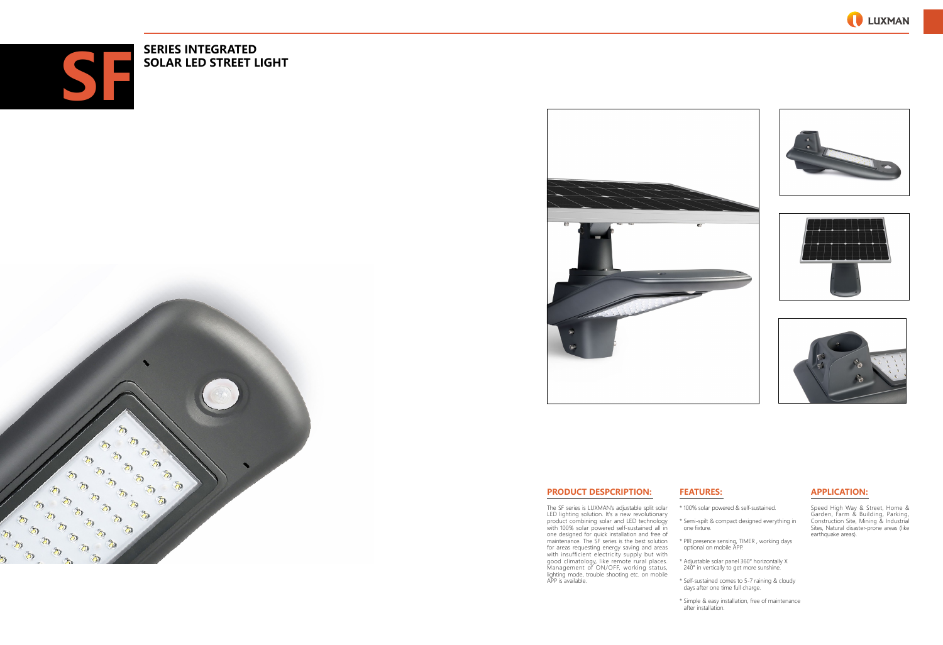







# **APPLICATION:**

- \* 100% solar powered & self-sustained.
- \* Semi-spilt & compact designed everything in one fixture.
- \* PIR presence sensing, TIMER , working days optional on mobile APP.
- \* Adjustable solar panel 360° horizontally X 240° in vertically to get more sunshine.
- \* Self-sustained comes to 5-7 raining & cloudy days after one time full charge.

Speed High Way & Street, Home & Garden, Farm & Building, Parking, Construction Site, Mining & Industrial Sites, Natural disaster-prone areas (like earthquake areas).

# **FEATURES:**

- 
- \* Simple & easy installation, free of maintenance after installation.



# **PRODUCT DESPCRIPTION:**

The SF series is LUXMAN's adjustable split solar LED lighting solution. It's a new revolutionary product combining solar and LED technology with 100% solar powered self-sustained all in one designed for quick installation and free of maintenance. The SF series is the best solution for areas requesting energy saving and areas with insufficient electricity supply but with good climatology, like remote rural places. Management of ON/OFF, working status, lighting mode, trouble shooting etc. on mobile APP is available.